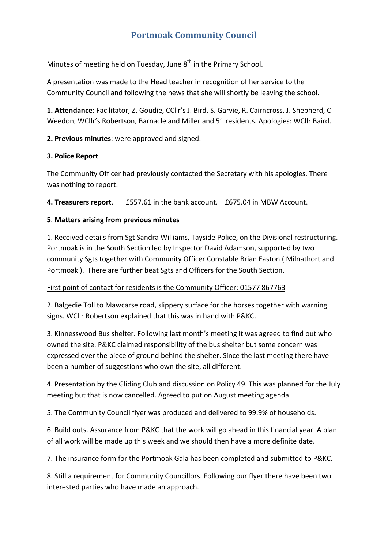# **Portmoak Community Council**

Minutes of meeting held on Tuesday, June  $8<sup>th</sup>$  in the Primary School.

A presentation was made to the Head teacher in recognition of her service to the Community Council and following the news that she will shortly be leaving the school.

**1. Attendance**: Facilitator, Z. Goudie, CCllr's J. Bird, S. Garvie, R. Cairncross, J. Shepherd, C Weedon, WCllr's Robertson, Barnacle and Miller and 51 residents. Apologies: WCllr Baird.

**2. Previous minutes**: were approved and signed.

## **3. Police Report**

The Community Officer had previously contacted the Secretary with his apologies. There was nothing to report.

**4. Treasurers report**. £557.61 in the bank account. £675.04 in MBW Account.

# **5**. **Matters arising from previous minutes**

1. Received details from Sgt Sandra Williams, Tayside Police, on the Divisional restructuring. Portmoak is in the South Section led by Inspector David Adamson, supported by two community Sgts together with Community Officer Constable Brian Easton ( Milnathort and Portmoak ). There are further beat Sgts and Officers for the South Section.

## First point of contact for residents is the Community Officer: 01577 867763

2. Balgedie Toll to Mawcarse road, slippery surface for the horses together with warning signs. WCllr Robertson explained that this was in hand with P&KC.

3. Kinnesswood Bus shelter. Following last month's meeting it was agreed to find out who owned the site. P&KC claimed responsibility of the bus shelter but some concern was expressed over the piece of ground behind the shelter. Since the last meeting there have been a number of suggestions who own the site, all different.

4. Presentation by the Gliding Club and discussion on Policy 49. This was planned for the July meeting but that is now cancelled. Agreed to put on August meeting agenda.

5. The Community Council flyer was produced and delivered to 99.9% of households.

6. Build outs. Assurance from P&KC that the work will go ahead in this financial year. A plan of all work will be made up this week and we should then have a more definite date.

7. The insurance form for the Portmoak Gala has been completed and submitted to P&KC.

8. Still a requirement for Community Councillors. Following our flyer there have been two interested parties who have made an approach.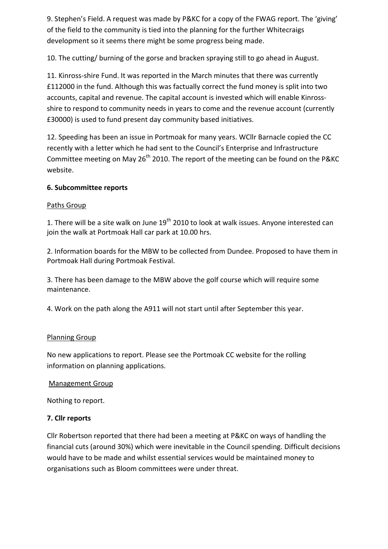9. Stephen's Field. A request was made by P&KC for a copy of the FWAG report. The 'giving' of the field to the community is tied into the planning for the further Whitecraigs development so it seems there might be some progress being made.

10. The cutting/ burning of the gorse and bracken spraying still to go ahead in August.

11. Kinross-shire Fund. It was reported in the March minutes that there was currently £112000 in the fund. Although this was factually correct the fund money is split into two accounts, capital and revenue. The capital account is invested which will enable Kinrossshire to respond to community needs in years to come and the revenue account (currently £30000) is used to fund present day community based initiatives.

12. Speeding has been an issue in Portmoak for many years. WCllr Barnacle copied the CC recently with a letter which he had sent to the Council's Enterprise and Infrastructure Committee meeting on May 26<sup>th</sup> 2010. The report of the meeting can be found on the P&KC website.

## **6. Subcommittee reports**

## Paths Group

1. There will be a site walk on June 19<sup>th</sup> 2010 to look at walk issues. Anyone interested can join the walk at Portmoak Hall car park at 10.00 hrs.

2. Information boards for the MBW to be collected from Dundee. Proposed to have them in Portmoak Hall during Portmoak Festival.

3. There has been damage to the MBW above the golf course which will require some maintenance.

4. Work on the path along the A911 will not start until after September this year.

#### Planning Group

No new applications to report. Please see the Portmoak CC website for the rolling information on planning applications.

#### Management Group

Nothing to report.

## **7. Cllr reports**

Cllr Robertson reported that there had been a meeting at P&KC on ways of handling the financial cuts (around 30%) which were inevitable in the Council spending. Difficult decisions would have to be made and whilst essential services would be maintained money to organisations such as Bloom committees were under threat.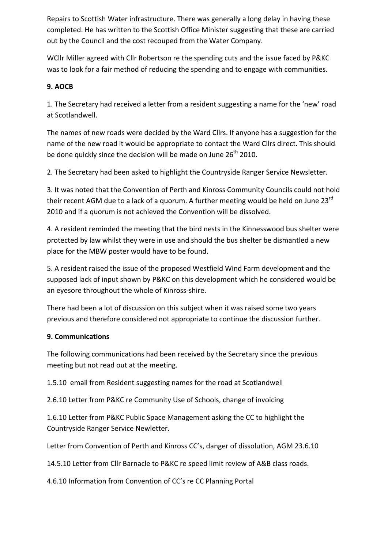Repairs to Scottish Water infrastructure. There was generally a long delay in having these completed. He has written to the Scottish Office Minister suggesting that these are carried out by the Council and the cost recouped from the Water Company.

WCllr Miller agreed with Cllr Robertson re the spending cuts and the issue faced by P&KC was to look for a fair method of reducing the spending and to engage with communities.

# **9. AOCB**

1. The Secretary had received a letter from a resident suggesting a name for the 'new' road at Scotlandwell.

The names of new roads were decided by the Ward Cllrs. If anyone has a suggestion for the name of the new road it would be appropriate to contact the Ward Cllrs direct. This should be done quickly since the decision will be made on June  $26<sup>th</sup>$  2010.

2. The Secretary had been asked to highlight the Countryside Ranger Service Newsletter.

3. It was noted that the Convention of Perth and Kinross Community Councils could not hold their recent AGM due to a lack of a quorum. A further meeting would be held on June 23<sup>rd</sup> 2010 and if a quorum is not achieved the Convention will be dissolved.

4. A resident reminded the meeting that the bird nests in the Kinnesswood bus shelter were protected by law whilst they were in use and should the bus shelter be dismantled a new place for the MBW poster would have to be found.

5. A resident raised the issue of the proposed Westfield Wind Farm development and the supposed lack of input shown by P&KC on this development which he considered would be an eyesore throughout the whole of Kinross‐shire.

There had been a lot of discussion on this subject when it was raised some two years previous and therefore considered not appropriate to continue the discussion further.

# **9. Communications**

The following communications had been received by the Secretary since the previous meeting but not read out at the meeting.

1.5.10 email from Resident suggesting names for the road at Scotlandwell

2.6.10 Letter from P&KC re Community Use of Schools, change of invoicing

1.6.10 Letter from P&KC Public Space Management asking the CC to highlight the Countryside Ranger Service Newletter.

Letter from Convention of Perth and Kinross CC's, danger of dissolution, AGM 23.6.10

14.5.10 Letter from Cllr Barnacle to P&KC re speed limit review of A&B class roads.

4.6.10 Information from Convention of CC's re CC Planning Portal